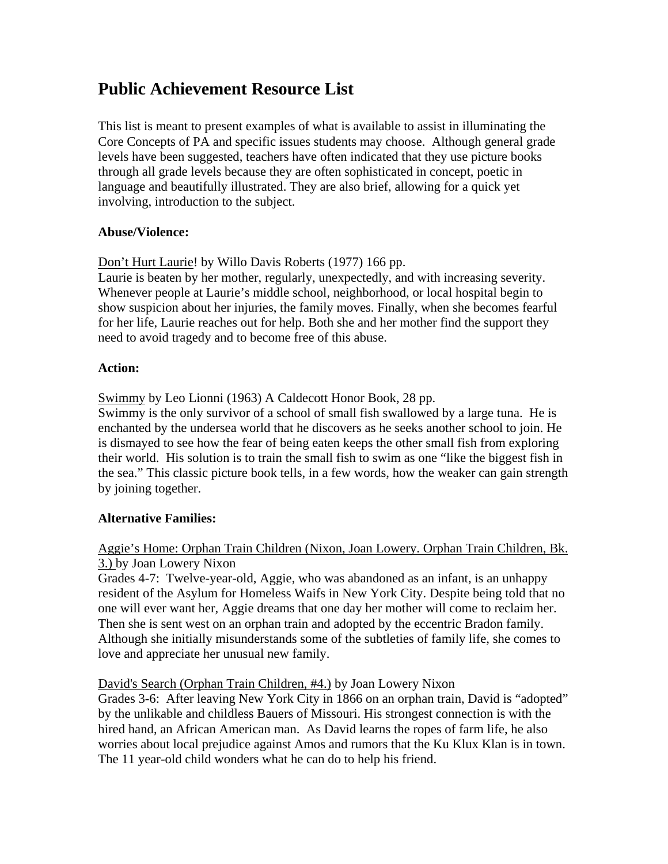# **Public Achievement Resource List**

This list is meant to present examples of what is available to assist in illuminating the Core Concepts of PA and specific issues students may choose. Although general grade levels have been suggested, teachers have often indicated that they use picture books through all grade levels because they are often sophisticated in concept, poetic in language and beautifully illustrated. They are also brief, allowing for a quick yet involving, introduction to the subject.

## **Abuse/Violence:**

Don't Hurt Laurie! by Willo Davis Roberts (1977) 166 pp.

Laurie is beaten by her mother, regularly, unexpectedly, and with increasing severity. Whenever people at Laurie's middle school, neighborhood, or local hospital begin to show suspicion about her injuries, the family moves. Finally, when she becomes fearful for her life, Laurie reaches out for help. Both she and her mother find the support they need to avoid tragedy and to become free of this abuse.

## **Action:**

Swimmy by Leo Lionni (1963) A Caldecott Honor Book, 28 pp.

Swimmy is the only survivor of a school of small fish swallowed by a large tuna. He is enchanted by the undersea world that he discovers as he seeks another school to join. He is dismayed to see how the fear of being eaten keeps the other small fish from exploring their world. His solution is to train the small fish to swim as one "like the biggest fish in the sea." This classic picture book tells, in a few words, how the weaker can gain strength by joining together.

# **Alternative Families:**

## Aggie's Home: Orphan Train Children (Nixon, Joan Lowery. Orphan Train Children, Bk. 3.) by Joan Lowery Nixon

Grades 4-7: Twelve-year-old, Aggie, who was abandoned as an infant, is an unhappy resident of the Asylum for Homeless Waifs in New York City. Despite being told that no one will ever want her, Aggie dreams that one day her mother will come to reclaim her. Then she is sent west on an orphan train and adopted by the eccentric Bradon family. Although she initially misunderstands some of the subtleties of family life, she comes to love and appreciate her unusual new family.

David's Search (Orphan Train Children, #4.) by Joan Lowery Nixon

Grades 3-6: After leaving New York City in 1866 on an orphan train, David is "adopted" by the unlikable and childless Bauers of Missouri. His strongest connection is with the hired hand, an African American man. As David learns the ropes of farm life, he also worries about local prejudice against Amos and rumors that the Ku Klux Klan is in town. The 11 year-old child wonders what he can do to help his friend.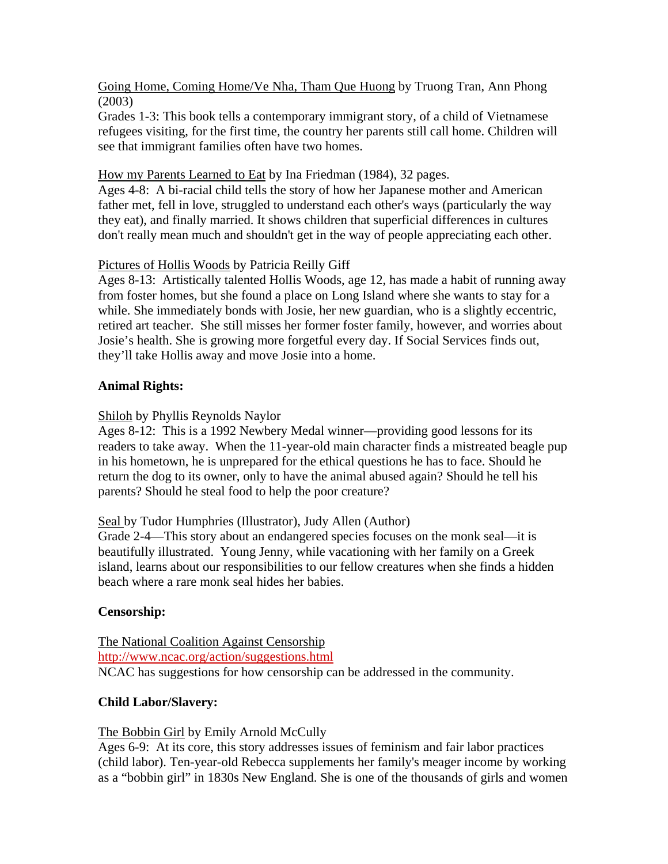Going Home, Coming Home/Ve Nha, Tham Que Huong by Truong Tran, Ann Phong (2003)

Grades 1-3: This book tells a contemporary immigrant story, of a child of Vietnamese refugees visiting, for the first time, the country her parents still call home. Children will see that immigrant families often have two homes.

## How my Parents Learned to Eat by Ina Friedman (1984), 32 pages.

Ages 4-8: A bi-racial child tells the story of how her Japanese mother and American father met, fell in love, struggled to understand each other's ways (particularly the way they eat), and finally married. It shows children that superficial differences in cultures don't really mean much and shouldn't get in the way of people appreciating each other.

## Pictures of Hollis Woods by Patricia Reilly Giff

Ages 8-13: Artistically talented Hollis Woods, age 12, has made a habit of running away from foster homes, but she found a place on Long Island where she wants to stay for a while. She immediately bonds with Josie, her new guardian, who is a slightly eccentric, retired art teacher. She still misses her former foster family, however, and worries about Josie's health. She is growing more forgetful every day. If Social Services finds out, they'll take Hollis away and move Josie into a home.

## **Animal Rights:**

## Shiloh by Phyllis Reynolds Naylor

Ages 8-12: This is a 1992 Newbery Medal winner—providing good lessons for its readers to take away. When the 11-year-old main character finds a mistreated beagle pup in his hometown, he is unprepared for the ethical questions he has to face. Should he return the dog to its owner, only to have the animal abused again? Should he tell his parents? Should he steal food to help the poor creature?

## Seal by Tudor Humphries (Illustrator), Judy Allen (Author)

Grade 2-4—This story about an endangered species focuses on the monk seal—it is beautifully illustrated. Young Jenny, while vacationing with her family on a Greek island, learns about our responsibilities to our fellow creatures when she finds a hidden beach where a rare monk seal hides her babies.

# **Censorship:**

The National Coalition Against Censorship http://www.ncac.org/action/suggestions.html NCAC has suggestions for how censorship can be addressed in the community.

## **Child Labor/Slavery:**

## The Bobbin Girl by Emily Arnold McCully

Ages 6-9: At its core, this story addresses issues of feminism and fair labor practices (child labor). Ten-year-old Rebecca supplements her family's meager income by working as a "bobbin girl" in 1830s New England. She is one of the thousands of girls and women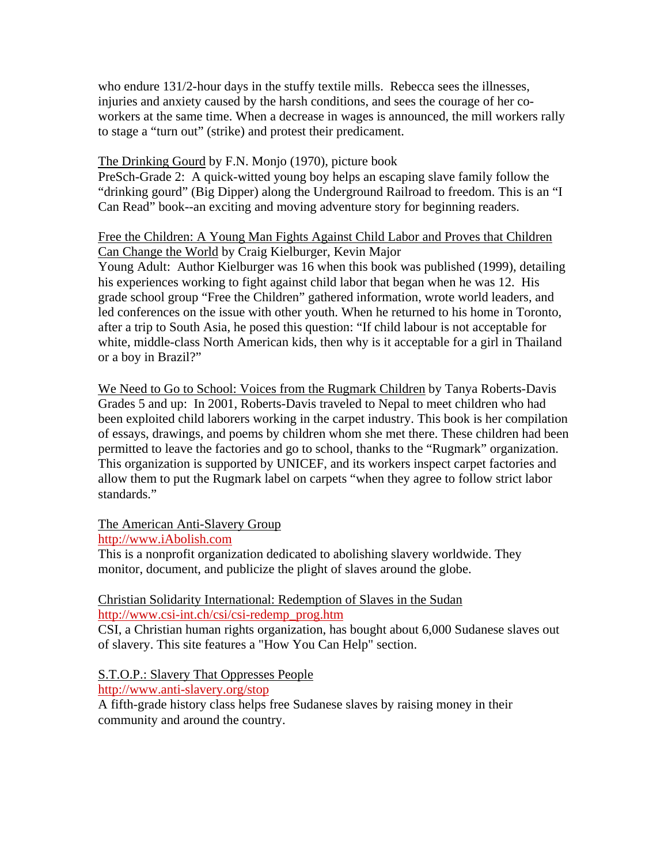who endure 131/2-hour days in the stuffy textile mills. Rebecca sees the illnesses, injuries and anxiety caused by the harsh conditions, and sees the courage of her coworkers at the same time. When a decrease in wages is announced, the mill workers rally to stage a "turn out" (strike) and protest their predicament.

## The Drinking Gourd by F.N. Monjo (1970), picture book

PreSch-Grade 2: A quick-witted young boy helps an escaping slave family follow the "drinking gourd" (Big Dipper) along the Underground Railroad to freedom. This is an "I Can Read" book--an exciting and moving adventure story for beginning readers.

## Free the Children: A Young Man Fights Against Child Labor and Proves that Children Can Change the World by Craig Kielburger, Kevin Major

Young Adult: Author Kielburger was 16 when this book was published (1999), detailing his experiences working to fight against child labor that began when he was 12. His grade school group "Free the Children" gathered information, wrote world leaders, and led conferences on the issue with other youth. When he returned to his home in Toronto, after a trip to South Asia, he posed this question: "If child labour is not acceptable for white, middle-class North American kids, then why is it acceptable for a girl in Thailand or a boy in Brazil?"

We Need to Go to School: Voices from the Rugmark Children by Tanya Roberts-Davis Grades 5 and up: In 2001, Roberts-Davis traveled to Nepal to meet children who had been exploited child laborers working in the carpet industry. This book is her compilation of essays, drawings, and poems by children whom she met there. These children had been permitted to leave the factories and go to school, thanks to the "Rugmark" organization. This organization is supported by UNICEF, and its workers inspect carpet factories and allow them to put the Rugmark label on carpets "when they agree to follow strict labor standards."

The American Anti-Slavery Group

http://www.iAbolish.com

This is a nonprofit organization dedicated to abolishing slavery worldwide. They monitor, document, and publicize the plight of slaves around the globe.

## Christian Solidarity International: Redemption of Slaves in the Sudan http://www.csi-int.ch/csi/csi-redemp\_prog.htm

CSI, a Christian human rights organization, has bought about 6,000 Sudanese slaves out of slavery. This site features a "How You Can Help" section.

S.T.O.P.: Slavery That Oppresses People http://www.anti-slavery.org/stop

A fifth-grade history class helps free Sudanese slaves by raising money in their community and around the country.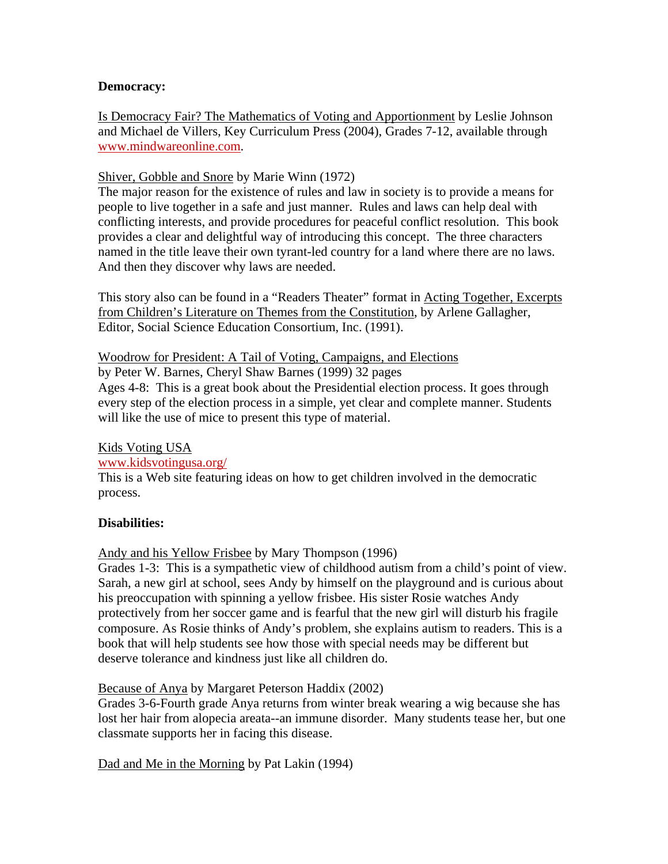## **Democracy:**

Is Democracy Fair? The Mathematics of Voting and Apportionment by Leslie Johnson and Michael de Villers, Key Curriculum Press (2004), Grades 7-12, available through www.mindwareonline.com.

## Shiver, Gobble and Snore by Marie Winn (1972)

The major reason for the existence of rules and law in society is to provide a means for people to live together in a safe and just manner. Rules and laws can help deal with conflicting interests, and provide procedures for peaceful conflict resolution. This book provides a clear and delightful way of introducing this concept. The three characters named in the title leave their own tyrant-led country for a land where there are no laws. And then they discover why laws are needed.

This story also can be found in a "Readers Theater" format in Acting Together, Excerpts from Children's Literature on Themes from the Constitution, by Arlene Gallagher, Editor, Social Science Education Consortium, Inc. (1991).

### Woodrow for President: A Tail of Voting, Campaigns, and Elections

by Peter W. Barnes, Cheryl Shaw Barnes (1999) 32 pages

Ages 4-8: This is a great book about the Presidential election process. It goes through every step of the election process in a simple, yet clear and complete manner. Students will like the use of mice to present this type of material.

### Kids Voting USA

### www.kidsvotingusa.org/

This is a Web site featuring ideas on how to get children involved in the democratic process.

## **Disabilities:**

Andy and his Yellow Frisbee by Mary Thompson (1996)

Grades 1-3: This is a sympathetic view of childhood autism from a child's point of view. Sarah, a new girl at school, sees Andy by himself on the playground and is curious about his preoccupation with spinning a yellow frisbee. His sister Rosie watches Andy protectively from her soccer game and is fearful that the new girl will disturb his fragile composure. As Rosie thinks of Andy's problem, she explains autism to readers. This is a book that will help students see how those with special needs may be different but deserve tolerance and kindness just like all children do.

### Because of Anya by Margaret Peterson Haddix (2002)

Grades 3-6-Fourth grade Anya returns from winter break wearing a wig because she has lost her hair from alopecia areata--an immune disorder. Many students tease her, but one classmate supports her in facing this disease.

Dad and Me in the Morning by Pat Lakin (1994)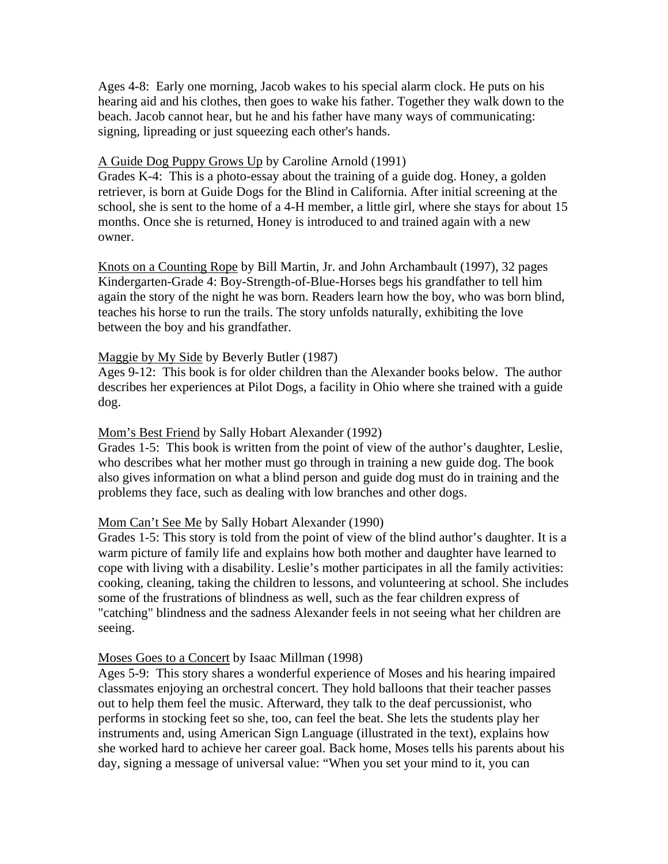Ages 4-8: Early one morning, Jacob wakes to his special alarm clock. He puts on his hearing aid and his clothes, then goes to wake his father. Together they walk down to the beach. Jacob cannot hear, but he and his father have many ways of communicating: signing, lipreading or just squeezing each other's hands.

#### A Guide Dog Puppy Grows Up by Caroline Arnold (1991)

Grades K-4: This is a photo-essay about the training of a guide dog. Honey, a golden retriever, is born at Guide Dogs for the Blind in California. After initial screening at the school, she is sent to the home of a 4-H member, a little girl, where she stays for about 15 months. Once she is returned, Honey is introduced to and trained again with a new owner.

Knots on a Counting Rope by Bill Martin, Jr. and John Archambault (1997), 32 pages Kindergarten-Grade 4: Boy-Strength-of-Blue-Horses begs his grandfather to tell him again the story of the night he was born. Readers learn how the boy, who was born blind, teaches his horse to run the trails. The story unfolds naturally, exhibiting the love between the boy and his grandfather.

#### Maggie by My Side by Beverly Butler (1987)

Ages 9-12: This book is for older children than the Alexander books below. The author describes her experiences at Pilot Dogs, a facility in Ohio where she trained with a guide dog.

#### Mom's Best Friend by Sally Hobart Alexander (1992)

Grades 1-5: This book is written from the point of view of the author's daughter, Leslie, who describes what her mother must go through in training a new guide dog. The book also gives information on what a blind person and guide dog must do in training and the problems they face, such as dealing with low branches and other dogs.

### Mom Can't See Me by Sally Hobart Alexander (1990)

Grades 1-5: This story is told from the point of view of the blind author's daughter. It is a warm picture of family life and explains how both mother and daughter have learned to cope with living with a disability. Leslie's mother participates in all the family activities: cooking, cleaning, taking the children to lessons, and volunteering at school. She includes some of the frustrations of blindness as well, such as the fear children express of "catching" blindness and the sadness Alexander feels in not seeing what her children are seeing.

#### Moses Goes to a Concert by Isaac Millman (1998)

Ages 5-9: This story shares a wonderful experience of Moses and his hearing impaired classmates enjoying an orchestral concert. They hold balloons that their teacher passes out to help them feel the music. Afterward, they talk to the deaf percussionist, who performs in stocking feet so she, too, can feel the beat. She lets the students play her instruments and, using American Sign Language (illustrated in the text), explains how she worked hard to achieve her career goal. Back home, Moses tells his parents about his day, signing a message of universal value: "When you set your mind to it, you can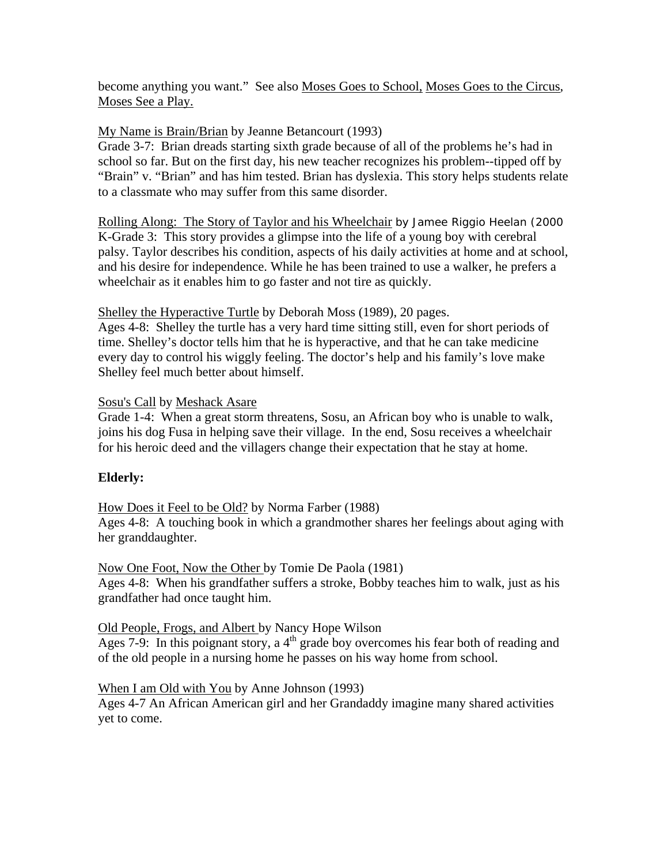become anything you want." See also Moses Goes to School, Moses Goes to the Circus, Moses See a Play.

## My Name is Brain/Brian by Jeanne Betancourt (1993)

Grade 3-7: Brian dreads starting sixth grade because of all of the problems he's had in school so far. But on the first day, his new teacher recognizes his problem--tipped off by "Brain" v. "Brian" and has him tested. Brian has dyslexia. This story helps students relate to a classmate who may suffer from this same disorder.

Rolling Along: The Story of Taylor and his Wheelchair by Jamee Riggio Heelan (2000 K-Grade 3: This story provides a glimpse into the life of a young boy with cerebral palsy. Taylor describes his condition, aspects of his daily activities at home and at school, and his desire for independence. While he has been trained to use a walker, he prefers a wheelchair as it enables him to go faster and not tire as quickly.

Shelley the Hyperactive Turtle by Deborah Moss (1989), 20 pages.

Ages 4-8: Shelley the turtle has a very hard time sitting still, even for short periods of time. Shelley's doctor tells him that he is hyperactive, and that he can take medicine every day to control his wiggly feeling. The doctor's help and his family's love make Shelley feel much better about himself.

### Sosu's Call by Meshack Asare

Grade 1-4: When a great storm threatens, Sosu, an African boy who is unable to walk, joins his dog Fusa in helping save their village. In the end, Sosu receives a wheelchair for his heroic deed and the villagers change their expectation that he stay at home.

## **Elderly:**

How Does it Feel to be Old? by Norma Farber (1988)

Ages 4-8: A touching book in which a grandmother shares her feelings about aging with her granddaughter.

Now One Foot, Now the Other by Tomie De Paola (1981) Ages 4-8: When his grandfather suffers a stroke, Bobby teaches him to walk, just as his grandfather had once taught him.

### Old People, Frogs, and Albert by Nancy Hope Wilson

Ages 7-9: In this poignant story, a  $4<sup>th</sup>$  grade boy overcomes his fear both of reading and of the old people in a nursing home he passes on his way home from school.

When I am Old with You by Anne Johnson (1993)

Ages 4-7 An African American girl and her Grandaddy imagine many shared activities yet to come.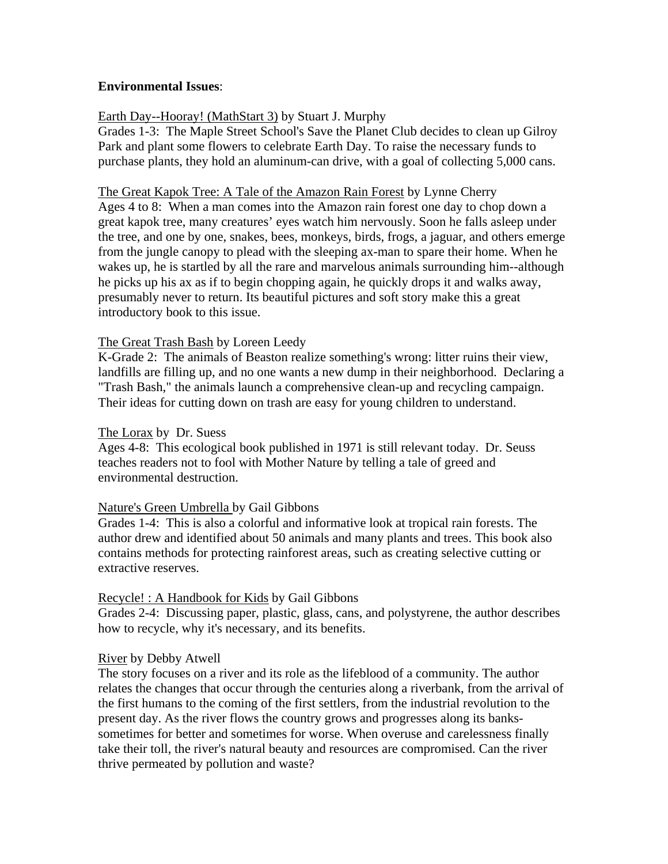## **Environmental Issues**:

## Earth Day--Hooray! (MathStart 3) by Stuart J. Murphy

Grades 1-3: The Maple Street School's Save the Planet Club decides to clean up Gilroy Park and plant some flowers to celebrate Earth Day. To raise the necessary funds to purchase plants, they hold an aluminum-can drive, with a goal of collecting 5,000 cans.

#### The Great Kapok Tree: A Tale of the Amazon Rain Forest by Lynne Cherry

Ages 4 to 8: When a man comes into the Amazon rain forest one day to chop down a great kapok tree, many creatures' eyes watch him nervously. Soon he falls asleep under the tree, and one by one, snakes, bees, monkeys, birds, frogs, a jaguar, and others emerge from the jungle canopy to plead with the sleeping ax-man to spare their home. When he wakes up, he is startled by all the rare and marvelous animals surrounding him--although he picks up his ax as if to begin chopping again, he quickly drops it and walks away, presumably never to return. Its beautiful pictures and soft story make this a great introductory book to this issue.

### The Great Trash Bash by Loreen Leedy

K-Grade 2: The animals of Beaston realize something's wrong: litter ruins their view, landfills are filling up, and no one wants a new dump in their neighborhood. Declaring a "Trash Bash," the animals launch a comprehensive clean-up and recycling campaign. Their ideas for cutting down on trash are easy for young children to understand.

### The Lorax by Dr. Suess

Ages 4-8: This ecological book published in 1971 is still relevant today. Dr. Seuss teaches readers not to fool with Mother Nature by telling a tale of greed and environmental destruction.

### Nature's Green Umbrella by Gail Gibbons

Grades 1-4: This is also a colorful and informative look at tropical rain forests. The author drew and identified about 50 animals and many plants and trees. This book also contains methods for protecting rainforest areas, such as creating selective cutting or extractive reserves.

### Recycle! : A Handbook for Kids by Gail Gibbons

Grades 2-4: Discussing paper, plastic, glass, cans, and polystyrene, the author describes how to recycle, why it's necessary, and its benefits.

### River by Debby Atwell

The story focuses on a river and its role as the lifeblood of a community. The author relates the changes that occur through the centuries along a riverbank, from the arrival of the first humans to the coming of the first settlers, from the industrial revolution to the present day. As the river flows the country grows and progresses along its bankssometimes for better and sometimes for worse. When overuse and carelessness finally take their toll, the river's natural beauty and resources are compromised. Can the river thrive permeated by pollution and waste?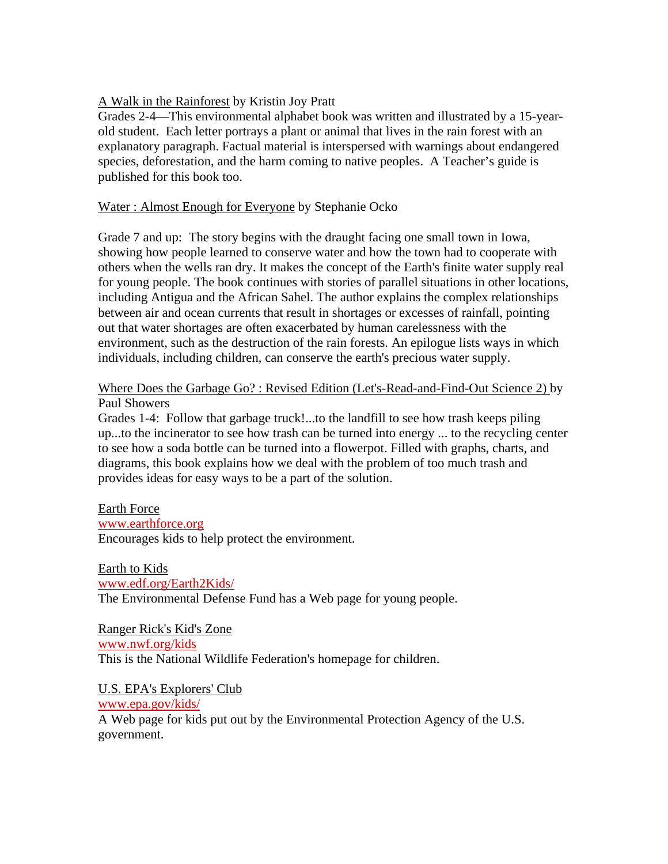## A Walk in the Rainforest by Kristin Joy Pratt

Grades 2-4—This environmental alphabet book was written and illustrated by a 15-yearold student. Each letter portrays a plant or animal that lives in the rain forest with an explanatory paragraph. Factual material is interspersed with warnings about endangered species, deforestation, and the harm coming to native peoples. A Teacher's guide is published for this book too.

## Water : Almost Enough for Everyone by Stephanie Ocko

Grade 7 and up: The story begins with the draught facing one small town in Iowa, showing how people learned to conserve water and how the town had to cooperate with others when the wells ran dry. It makes the concept of the Earth's finite water supply real for young people. The book continues with stories of parallel situations in other locations, including Antigua and the African Sahel. The author explains the complex relationships between air and ocean currents that result in shortages or excesses of rainfall, pointing out that water shortages are often exacerbated by human carelessness with the environment, such as the destruction of the rain forests. An epilogue lists ways in which individuals, including children, can conserve the earth's precious water supply.

## Where Does the Garbage Go? : Revised Edition (Let's-Read-and-Find-Out Science 2) by Paul Showers

Grades 1-4: Follow that garbage truck!...to the landfill to see how trash keeps piling up...to the incinerator to see how trash can be turned into energy ... to the recycling center to see how a soda bottle can be turned into a flowerpot. Filled with graphs, charts, and diagrams, this book explains how we deal with the problem of too much trash and provides ideas for easy ways to be a part of the solution.

## Earth Force

## www.earthforce.org Encourages kids to help protect the environment.

Earth to Kids

# www.edf.org/Earth2Kids/

The Environmental Defense Fund has a Web page for young people.

Ranger Rick's Kid's Zone www.nwf.org/kids This is the National Wildlife Federation's homepage for children.

## U.S. EPA's Explorers' Club

www.epa.gov/kids/

A Web page for kids put out by the Environmental Protection Agency of the U.S. government.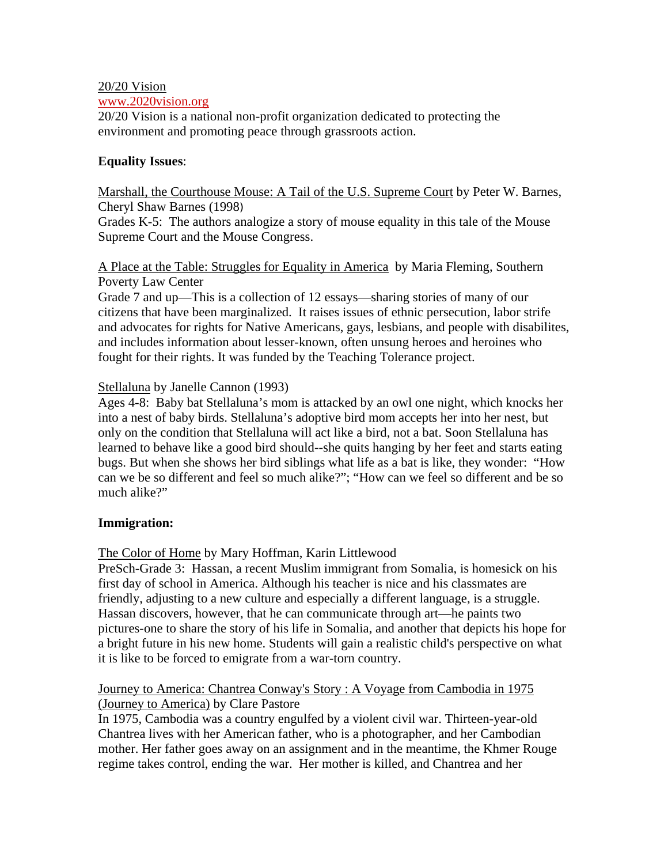## 20/20 Vision

#### www.2020vision.org

20/20 Vision is a national non-profit organization dedicated to protecting the environment and promoting peace through grassroots action.

## **Equality Issues**:

Marshall, the Courthouse Mouse: A Tail of the U.S. Supreme Court by Peter W. Barnes, Cheryl Shaw Barnes (1998)

Grades K-5: The authors analogize a story of mouse equality in this tale of the Mouse Supreme Court and the Mouse Congress.

A Place at the Table: Struggles for Equality in America by Maria Fleming, Southern Poverty Law Center

Grade 7 and up—This is a collection of 12 essays—sharing stories of many of our citizens that have been marginalized. It raises issues of ethnic persecution, labor strife and advocates for rights for Native Americans, gays, lesbians, and people with disabilites, and includes information about lesser-known, often unsung heroes and heroines who fought for their rights. It was funded by the Teaching Tolerance project.

## Stellaluna by Janelle Cannon (1993)

Ages 4-8: Baby bat Stellaluna's mom is attacked by an owl one night, which knocks her into a nest of baby birds. Stellaluna's adoptive bird mom accepts her into her nest, but only on the condition that Stellaluna will act like a bird, not a bat. Soon Stellaluna has learned to behave like a good bird should--she quits hanging by her feet and starts eating bugs. But when she shows her bird siblings what life as a bat is like, they wonder: "How can we be so different and feel so much alike?"; "How can we feel so different and be so much alike?"

## **Immigration:**

## The Color of Home by Mary Hoffman, Karin Littlewood

PreSch-Grade 3: Hassan, a recent Muslim immigrant from Somalia, is homesick on his first day of school in America. Although his teacher is nice and his classmates are friendly, adjusting to a new culture and especially a different language, is a struggle. Hassan discovers, however, that he can communicate through art—he paints two pictures-one to share the story of his life in Somalia, and another that depicts his hope for a bright future in his new home. Students will gain a realistic child's perspective on what it is like to be forced to emigrate from a war-torn country.

## Journey to America: Chantrea Conway's Story : A Voyage from Cambodia in 1975 (Journey to America) by Clare Pastore

In 1975, Cambodia was a country engulfed by a violent civil war. Thirteen-year-old Chantrea lives with her American father, who is a photographer, and her Cambodian mother. Her father goes away on an assignment and in the meantime, the Khmer Rouge regime takes control, ending the war. Her mother is killed, and Chantrea and her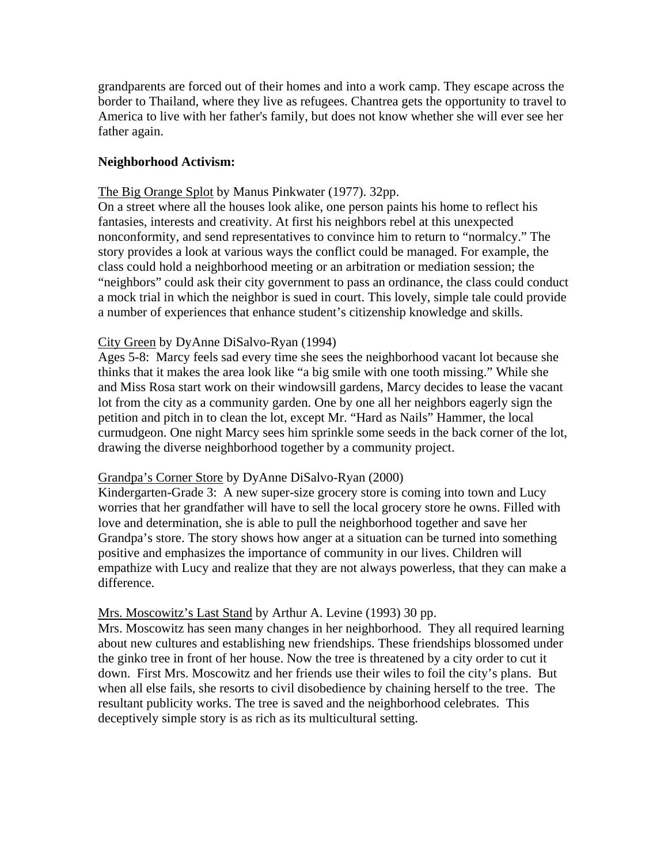grandparents are forced out of their homes and into a work camp. They escape across the border to Thailand, where they live as refugees. Chantrea gets the opportunity to travel to America to live with her father's family, but does not know whether she will ever see her father again.

## **Neighborhood Activism:**

## The Big Orange Splot by Manus Pinkwater (1977). 32pp.

On a street where all the houses look alike, one person paints his home to reflect his fantasies, interests and creativity. At first his neighbors rebel at this unexpected nonconformity, and send representatives to convince him to return to "normalcy." The story provides a look at various ways the conflict could be managed. For example, the class could hold a neighborhood meeting or an arbitration or mediation session; the "neighbors" could ask their city government to pass an ordinance, the class could conduct a mock trial in which the neighbor is sued in court. This lovely, simple tale could provide a number of experiences that enhance student's citizenship knowledge and skills.

## City Green by DyAnne DiSalvo-Ryan (1994)

Ages 5-8: Marcy feels sad every time she sees the neighborhood vacant lot because she thinks that it makes the area look like "a big smile with one tooth missing." While she and Miss Rosa start work on their windowsill gardens, Marcy decides to lease the vacant lot from the city as a community garden. One by one all her neighbors eagerly sign the petition and pitch in to clean the lot, except Mr. "Hard as Nails" Hammer, the local curmudgeon. One night Marcy sees him sprinkle some seeds in the back corner of the lot, drawing the diverse neighborhood together by a community project.

### Grandpa's Corner Store by DyAnne DiSalvo-Ryan (2000)

Kindergarten-Grade 3: A new super-size grocery store is coming into town and Lucy worries that her grandfather will have to sell the local grocery store he owns. Filled with love and determination, she is able to pull the neighborhood together and save her Grandpa's store. The story shows how anger at a situation can be turned into something positive and emphasizes the importance of community in our lives. Children will empathize with Lucy and realize that they are not always powerless, that they can make a difference.

### Mrs. Moscowitz's Last Stand by Arthur A. Levine (1993) 30 pp.

Mrs. Moscowitz has seen many changes in her neighborhood. They all required learning about new cultures and establishing new friendships. These friendships blossomed under the ginko tree in front of her house. Now the tree is threatened by a city order to cut it down. First Mrs. Moscowitz and her friends use their wiles to foil the city's plans. But when all else fails, she resorts to civil disobedience by chaining herself to the tree. The resultant publicity works. The tree is saved and the neighborhood celebrates. This deceptively simple story is as rich as its multicultural setting.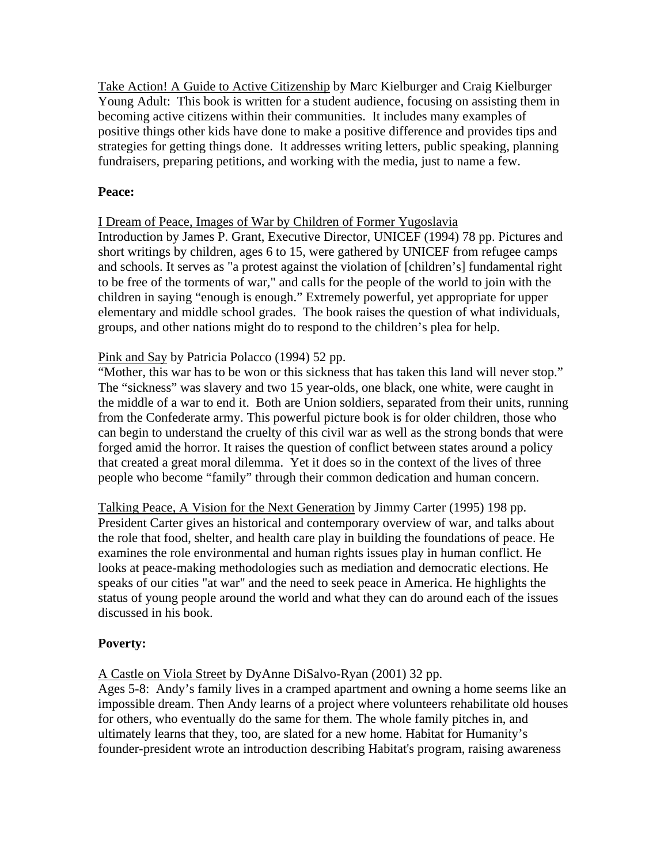Take Action! A Guide to Active Citizenship by Marc Kielburger and Craig Kielburger Young Adult: This book is written for a student audience, focusing on assisting them in becoming active citizens within their communities. It includes many examples of positive things other kids have done to make a positive difference and provides tips and strategies for getting things done. It addresses writing letters, public speaking, planning fundraisers, preparing petitions, and working with the media, just to name a few.

### **Peace:**

### I Dream of Peace, Images of War by Children of Former Yugoslavia

Introduction by James P. Grant, Executive Director, UNICEF (1994) 78 pp. Pictures and short writings by children, ages 6 to 15, were gathered by UNICEF from refugee camps and schools. It serves as "a protest against the violation of [children's] fundamental right to be free of the torments of war," and calls for the people of the world to join with the children in saying "enough is enough." Extremely powerful, yet appropriate for upper elementary and middle school grades. The book raises the question of what individuals, groups, and other nations might do to respond to the children's plea for help.

### Pink and Say by Patricia Polacco (1994) 52 pp.

"Mother, this war has to be won or this sickness that has taken this land will never stop." The "sickness" was slavery and two 15 year-olds, one black, one white, were caught in the middle of a war to end it. Both are Union soldiers, separated from their units, running from the Confederate army. This powerful picture book is for older children, those who can begin to understand the cruelty of this civil war as well as the strong bonds that were forged amid the horror. It raises the question of conflict between states around a policy that created a great moral dilemma. Yet it does so in the context of the lives of three people who become "family" through their common dedication and human concern.

Talking Peace, A Vision for the Next Generation by Jimmy Carter (1995) 198 pp. President Carter gives an historical and contemporary overview of war, and talks about the role that food, shelter, and health care play in building the foundations of peace. He examines the role environmental and human rights issues play in human conflict. He looks at peace-making methodologies such as mediation and democratic elections. He speaks of our cities "at war" and the need to seek peace in America. He highlights the status of young people around the world and what they can do around each of the issues discussed in his book.

### **Poverty:**

A Castle on Viola Street by DyAnne DiSalvo-Ryan (2001) 32 pp.

Ages 5-8: Andy's family lives in a cramped apartment and owning a home seems like an impossible dream. Then Andy learns of a project where volunteers rehabilitate old houses for others, who eventually do the same for them. The whole family pitches in, and ultimately learns that they, too, are slated for a new home. Habitat for Humanity's founder-president wrote an introduction describing Habitat's program, raising awareness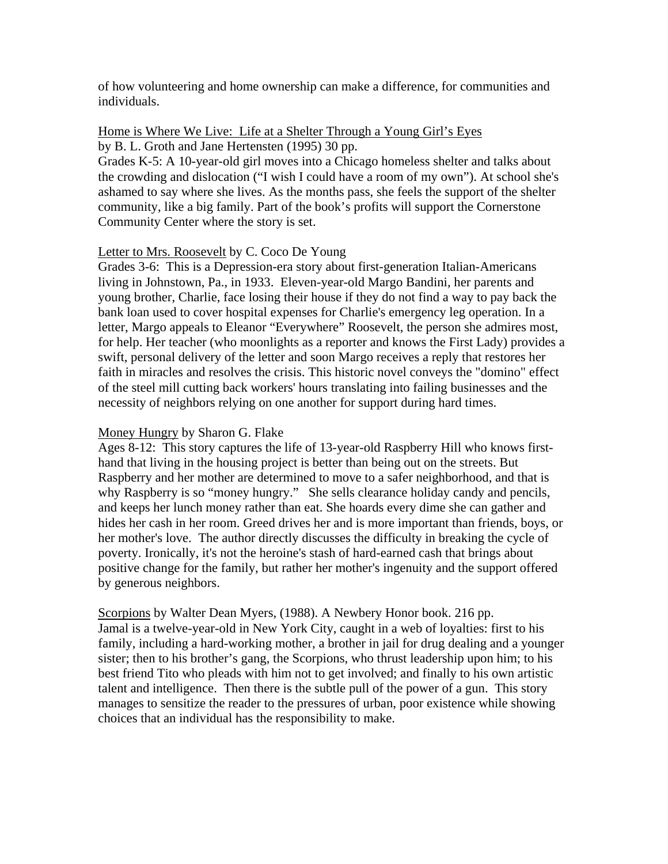of how volunteering and home ownership can make a difference, for communities and individuals.

#### Home is Where We Live: Life at a Shelter Through a Young Girl's Eyes by B. L. Groth and Jane Hertensten (1995) 30 pp.

Grades K-5: A 10-year-old girl moves into a Chicago homeless shelter and talks about the crowding and dislocation ("I wish I could have a room of my own"). At school she's ashamed to say where she lives. As the months pass, she feels the support of the shelter community, like a big family. Part of the book's profits will support the Cornerstone Community Center where the story is set.

#### Letter to Mrs. Roosevelt by C. Coco De Young

Grades 3-6: This is a Depression-era story about first-generation Italian-Americans living in Johnstown, Pa., in 1933. Eleven-year-old Margo Bandini, her parents and young brother, Charlie, face losing their house if they do not find a way to pay back the bank loan used to cover hospital expenses for Charlie's emergency leg operation. In a letter, Margo appeals to Eleanor "Everywhere" Roosevelt, the person she admires most, for help. Her teacher (who moonlights as a reporter and knows the First Lady) provides a swift, personal delivery of the letter and soon Margo receives a reply that restores her faith in miracles and resolves the crisis. This historic novel conveys the "domino" effect of the steel mill cutting back workers' hours translating into failing businesses and the necessity of neighbors relying on one another for support during hard times.

#### Money Hungry by Sharon G. Flake

Ages 8-12: This story captures the life of 13-year-old Raspberry Hill who knows firsthand that living in the housing project is better than being out on the streets. But Raspberry and her mother are determined to move to a safer neighborhood, and that is why Raspberry is so "money hungry." She sells clearance holiday candy and pencils, and keeps her lunch money rather than eat. She hoards every dime she can gather and hides her cash in her room. Greed drives her and is more important than friends, boys, or her mother's love. The author directly discusses the difficulty in breaking the cycle of poverty. Ironically, it's not the heroine's stash of hard-earned cash that brings about positive change for the family, but rather her mother's ingenuity and the support offered by generous neighbors.

Scorpions by Walter Dean Myers, (1988). A Newbery Honor book. 216 pp. Jamal is a twelve-year-old in New York City, caught in a web of loyalties: first to his family, including a hard-working mother, a brother in jail for drug dealing and a younger sister; then to his brother's gang, the Scorpions, who thrust leadership upon him; to his best friend Tito who pleads with him not to get involved; and finally to his own artistic talent and intelligence. Then there is the subtle pull of the power of a gun. This story manages to sensitize the reader to the pressures of urban, poor existence while showing choices that an individual has the responsibility to make.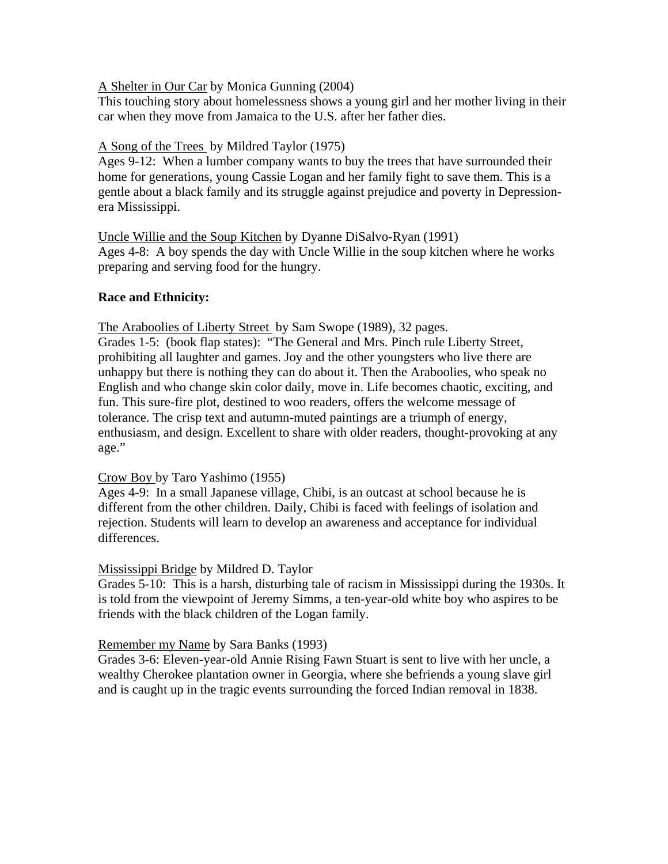#### A Shelter in Our Car by Monica Gunning (2004)

This touching story about homelessness shows a young girl and her mother living in their car when they move from Jamaica to the U.S. after her father dies.

## A Song of the Trees by Mildred Taylor (1975)

Ages 9-12: When a lumber company wants to buy the trees that have surrounded their home for generations, young Cassie Logan and her family fight to save them. This is a gentle about a black family and its struggle against prejudice and poverty in Depressionera Mississippi.

Uncle Willie and the Soup Kitchen by Dyanne DiSalvo-Ryan (1991) Ages 4-8: A boy spends the day with Uncle Willie in the soup kitchen where he works preparing and serving food for the hungry.

## **Race and Ethnicity:**

The Araboolies of Liberty Street by Sam Swope (1989), 32 pages.

Grades 1-5: (book flap states): "The General and Mrs. Pinch rule Liberty Street, prohibiting all laughter and games. Joy and the other youngsters who live there are unhappy but there is nothing they can do about it. Then the Araboolies, who speak no English and who change skin color daily, move in. Life becomes chaotic, exciting, and fun. This sure-fire plot, destined to woo readers, offers the welcome message of tolerance. The crisp text and autumn-muted paintings are a triumph of energy, enthusiasm, and design. Excellent to share with older readers, thought-provoking at any age."

### Crow Boy by Taro Yashimo (1955)

Ages 4-9: In a small Japanese village, Chibi, is an outcast at school because he is different from the other children. Daily, Chibi is faced with feelings of isolation and rejection. Students will learn to develop an awareness and acceptance for individual differences.

### Mississippi Bridge by Mildred D. Taylor

Grades 5-10: This is a harsh, disturbing tale of racism in Mississippi during the 1930s. It is told from the viewpoint of Jeremy Simms, a ten-year-old white boy who aspires to be friends with the black children of the Logan family.

### Remember my Name by Sara Banks (1993)

Grades 3-6: Eleven-year-old Annie Rising Fawn Stuart is sent to live with her uncle, a wealthy Cherokee plantation owner in Georgia, where she befriends a young slave girl and is caught up in the tragic events surrounding the forced Indian removal in 1838.